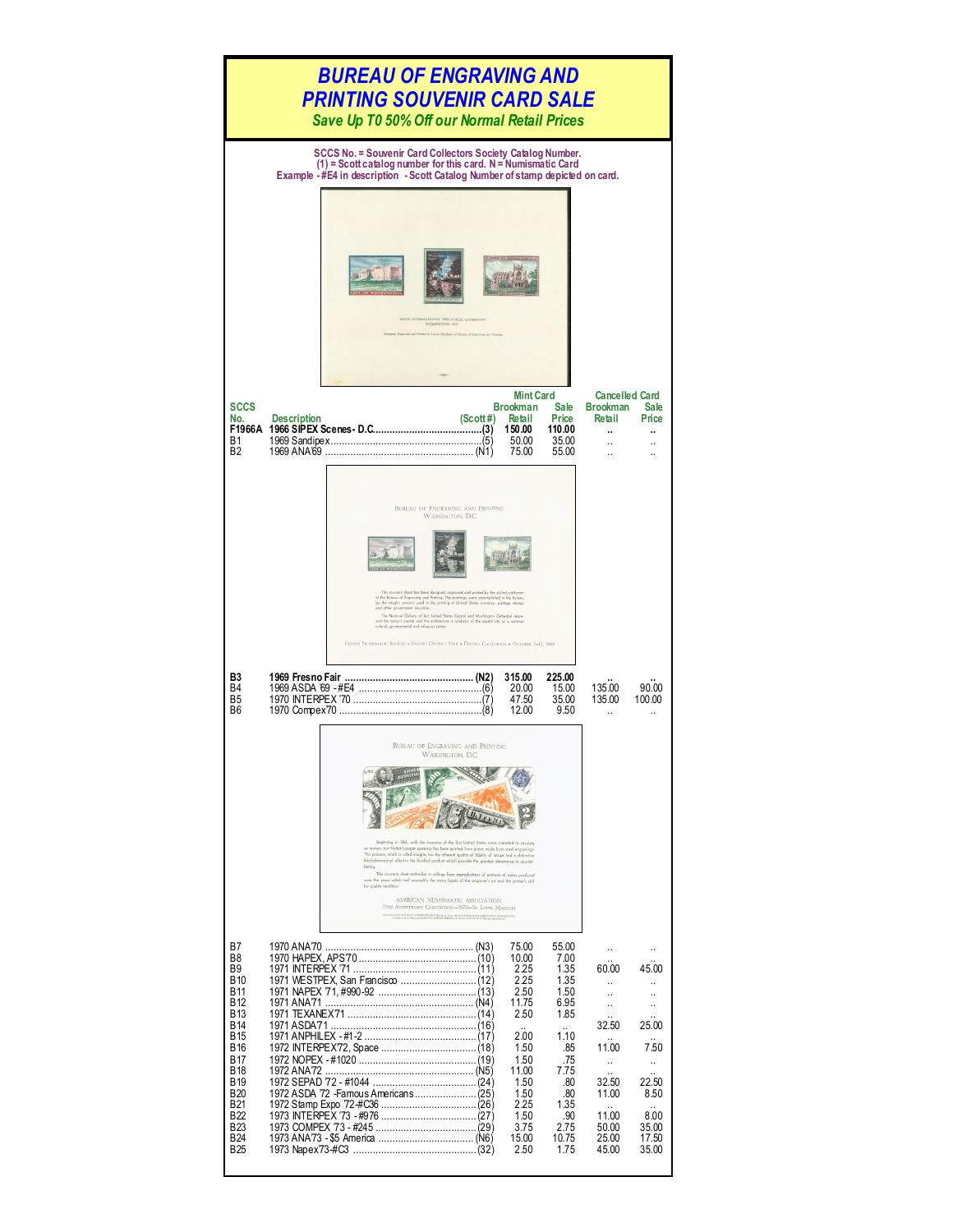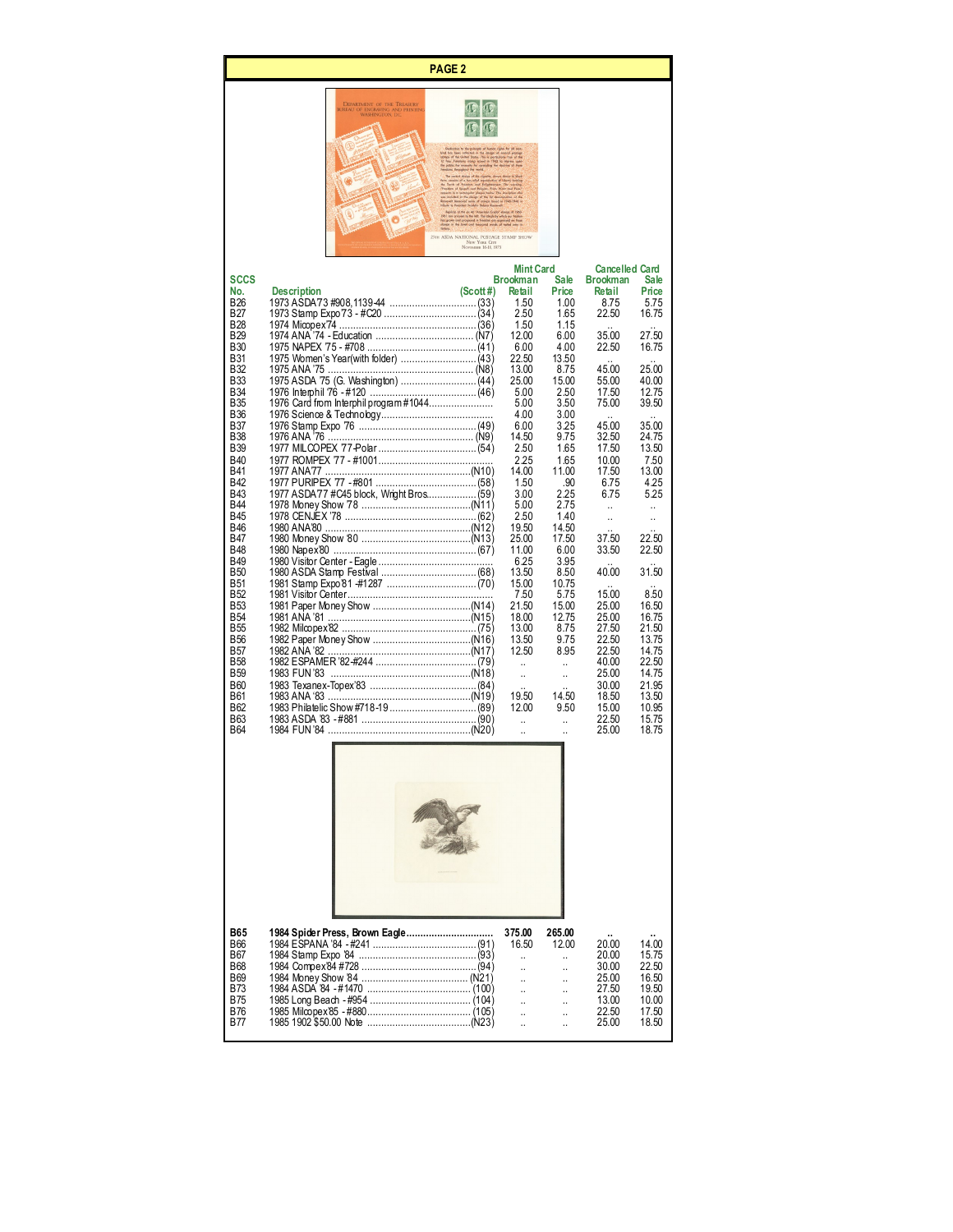## **PAGE 2**



|             |                                          |              | <b>Mint Card</b>     |                      | <b>Cancelled Card</b> |                               |
|-------------|------------------------------------------|--------------|----------------------|----------------------|-----------------------|-------------------------------|
| <b>SCCS</b> |                                          |              | <b>Brookman</b>      | <b>Sale</b>          | <b>Brookman</b>       | Sale                          |
| No.         | <b>Description</b>                       | $(Scott \#)$ | Retail               | Price                | Retail                | Price                         |
| <b>B26</b>  |                                          |              | 1.50                 | 1.00                 | 8.75                  | 5.75                          |
| <b>B27</b>  |                                          |              | 2.50                 | 1.65                 | 22.50                 | 16.75                         |
| <b>B28</b>  |                                          |              | 1.50                 | 1.15                 |                       |                               |
| <b>B29</b>  |                                          |              | 12.00                | 6.00                 | 35.00                 | 27.50                         |
| <b>B30</b>  |                                          |              | 6.00                 | 4.00                 | 22.50                 | 16.75                         |
| <b>B31</b>  |                                          |              | 22.50                | 13.50                |                       |                               |
| <b>B32</b>  |                                          |              | 13.00                | 8.75                 | 45.00                 | 25.00                         |
| <b>B33</b>  |                                          |              | 25.00                | 15.00                | 55.00                 | 40.00                         |
| <b>B34</b>  |                                          |              | 5.00                 | 2.50                 | 17.50                 | 12.75                         |
| <b>B35</b>  |                                          |              | 5.00                 | 3.50                 | 75.00                 | 39.50                         |
| <b>B36</b>  |                                          |              | 4.00                 | 3.00                 |                       |                               |
| <b>B37</b>  |                                          |              | 6.00                 | 3.25                 | $\ddotsc$<br>45.00    | $\ddot{\phantom{0}}$<br>35.00 |
| <b>B38</b>  |                                          |              | 14.50                | 9.75                 | 32.50                 | 24.75                         |
| <b>B39</b>  |                                          |              | 2.50                 | 1.65                 | 17.50                 | 13.50                         |
| <b>B40</b>  |                                          |              | 2.25                 | 1.65                 |                       |                               |
|             |                                          |              |                      |                      | 10.00                 | 7.50                          |
| <b>B41</b>  |                                          |              | 14.00                | 11.00                | 17.50                 | 13.00                         |
| <b>B42</b>  |                                          |              | 1.50                 | .90                  | 6.75                  | 4.25                          |
| <b>B43</b>  | 1977 ASDA77 #C45 block, Wright Bros (59) |              | 3.00                 | 2.25                 | 6.75                  | 5.25                          |
| <b>B44</b>  |                                          |              | 5.00                 | 2.75                 | $\ddot{\phantom{a}}$  | $\ddot{\phantom{a}}$          |
| <b>B45</b>  |                                          |              | 2.50                 | 1.40                 | $\ddot{\phantom{a}}$  | $\ddot{\phantom{a}}$          |
| <b>B46</b>  |                                          |              | 19.50                | 14.50                | $\ddot{\phantom{a}}$  |                               |
| <b>B47</b>  |                                          |              | 25.00                | 17.50                | 37.50                 | 22.50                         |
| <b>B48</b>  |                                          |              | 11.00                | 6.00                 | 33.50                 | 22.50                         |
| <b>B49</b>  |                                          |              | 6.25                 | 3.95                 |                       |                               |
| <b>B50</b>  |                                          |              | 13.50                | 8.50                 | 40.00                 | 31.50                         |
| <b>B51</b>  |                                          |              | 15.00                | 10.75                |                       |                               |
| <b>B52</b>  |                                          |              | 7.50                 | 5.75                 | 15.00                 | 8.50                          |
| <b>B53</b>  |                                          |              | 21.50                | 15.00                | 25.00                 | 16.50                         |
| <b>B54</b>  |                                          |              | 18.00                | 12.75                | 25.00                 | 16.75                         |
| <b>B55</b>  |                                          |              | 13.00                | 8.75                 | 27.50                 | 21.50                         |
| <b>B56</b>  |                                          |              | 13.50                | 9.75                 | 22.50                 | 13.75                         |
| <b>B57</b>  |                                          |              | 12.50                | 8.95                 | 22.50                 | 14.75                         |
| <b>B58</b>  |                                          |              | a.                   | $\ddot{\phantom{a}}$ | 40.00                 | 22.50                         |
| <b>B59</b>  |                                          |              | $\mathbf{a}$         | $\ddot{\phantom{a}}$ | 25.00                 | 14.75                         |
| <b>B60</b>  |                                          |              | $\ddot{\phantom{a}}$ |                      | 30.00                 | 21.95                         |
| <b>B61</b>  |                                          |              | 19.50                | 14.50                | 18.50                 | 13.50                         |
| <b>B62</b>  |                                          |              | 12.00                | 9.50                 | 15.00                 | 10.95                         |
| <b>B63</b>  |                                          |              | $\mathbf{a}$         | $\ddot{\phantom{a}}$ | 22.50                 | 15.75                         |
| <b>B64</b>  |                                          |              |                      |                      | 25.00                 | 18.75                         |
|             |                                          |              | $\ddot{\phantom{a}}$ | $\ddot{\phantom{a}}$ |                       |                               |
|             |                                          |              |                      |                      |                       |                               |
|             |                                          |              |                      |                      |                       |                               |
|             |                                          |              |                      |                      |                       |                               |
|             |                                          |              |                      |                      |                       |                               |



| <b>B65</b> |       | 265.00                 | $\mathbf{u}$ | $\sim$ |
|------------|-------|------------------------|--------------|--------|
| <b>B66</b> | 16.50 | 12.00                  | 20.00        | 14.00  |
| <b>B67</b> |       | and the control        | 20.00        | 15.75  |
| <b>B68</b> |       | and the control        | 30.00        | 22.50  |
| <b>B69</b> |       |                        | 25.00        | 16.50  |
| <b>B73</b> |       | and the control of the | 27.50        | 19.50  |
| <b>B75</b> |       | <b>Service State</b>   | 13.00        | 10.00  |
| <b>B76</b> |       | <b>Carl Committee</b>  | 22.50        | 17.50  |
| <b>B77</b> |       | and the state          | 25.00        | 18.50  |
|            |       |                        |              |        |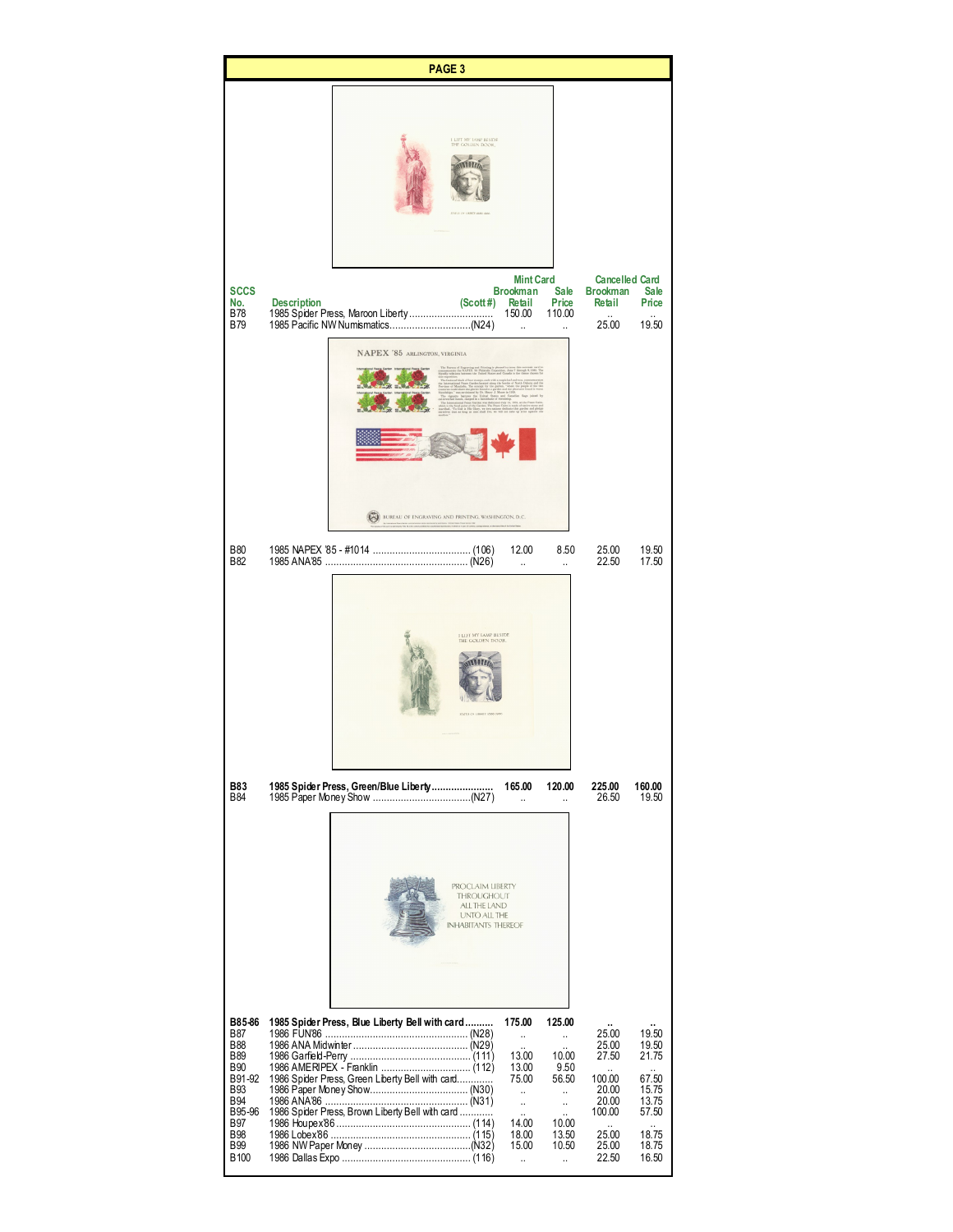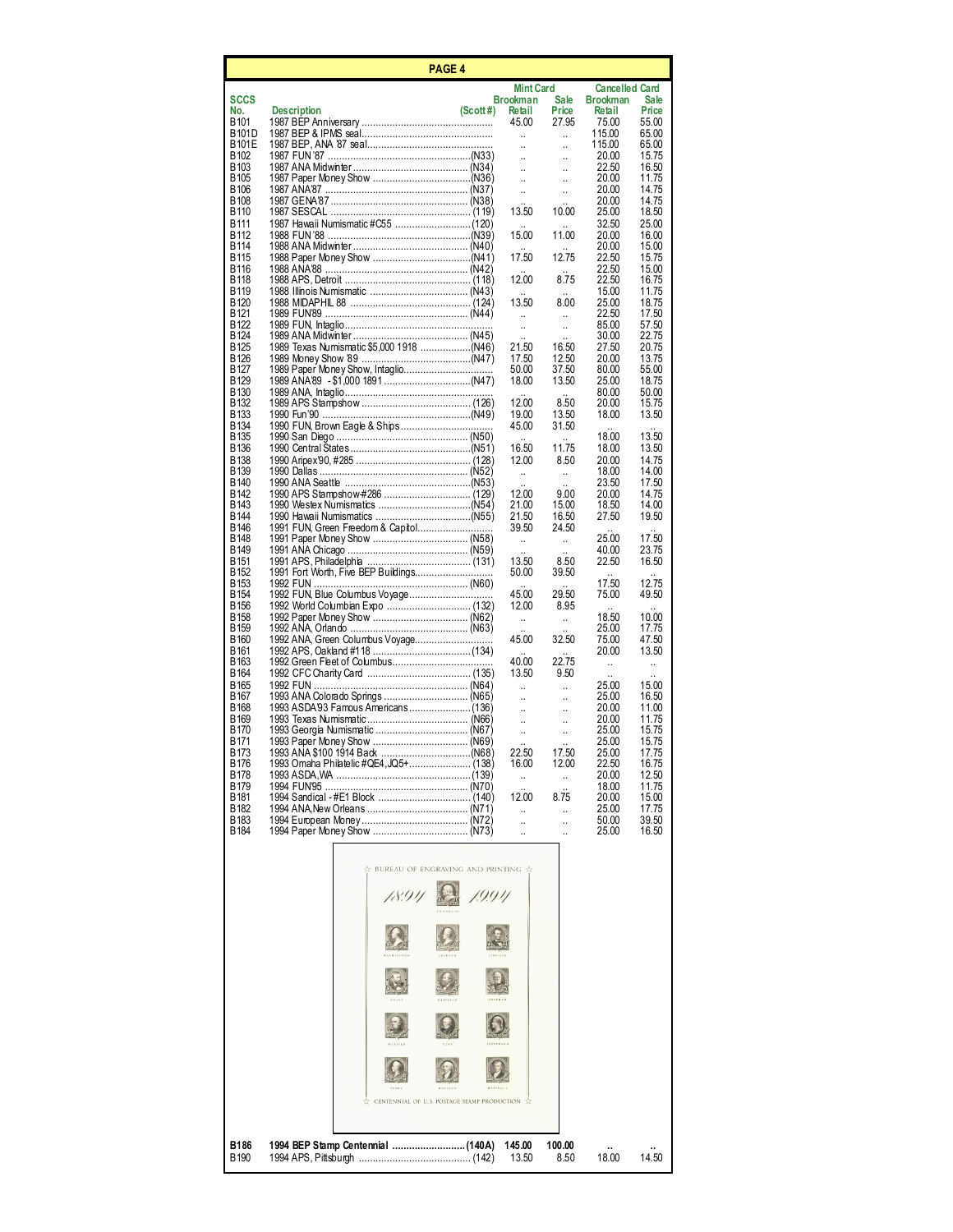| PAGE 4                               |                                             |           |                                              |                               |                           |                      |  |
|--------------------------------------|---------------------------------------------|-----------|----------------------------------------------|-------------------------------|---------------------------|----------------------|--|
|                                      |                                             |           | <b>Mint Card</b>                             |                               | <b>Cancelled Card</b>     |                      |  |
| <b>SCCS</b><br>No.                   | <b>Description</b>                          | (Scott #) | <b>Brookman</b><br>Retail                    | Sale<br>Price                 | <b>Brookman</b><br>Retail | Sale<br>Price        |  |
| B <sub>101</sub>                     |                                             |           | 45.00                                        | 27.95                         | 75.00                     | 55.00                |  |
| B101D<br>B101E                       |                                             |           | $\ddot{\phantom{a}}$<br>$\ddot{\phantom{a}}$ | $\ddot{\phantom{a}}$<br>.,    | 115.00<br>115.00          | 65.00<br>65.00       |  |
| B <sub>102</sub>                     |                                             |           | $\ddot{\phantom{a}}$                         | $\ddot{\phantom{a}}$          | 20.00                     | 15.75                |  |
| B <sub>103</sub><br><b>B105</b>      |                                             |           | $\ddot{\phantom{a}}$                         | $\ddot{\phantom{a}}$          | 22.50<br>20.00            | 16.50<br>11.75       |  |
| <b>B106</b>                          |                                             |           | Ω,                                           | .,                            | 20.00                     | 14.75                |  |
| <b>B108</b><br>B110                  |                                             |           | 13.50                                        | 10.00                         | 20.00<br>25.00            | 14.75<br>18.50       |  |
| <b>B111</b>                          |                                             |           |                                              |                               | 32.50                     | 25.00                |  |
| B <sub>112</sub>                     |                                             |           | 15.00                                        | 11.00                         | 20.00                     | 16.00                |  |
| <b>B114</b><br><b>B115</b>           |                                             |           | 17.50                                        | 12.75                         | 20.00<br>22.50            | 15.00<br>15.75       |  |
| B116                                 |                                             |           |                                              |                               | 22.50                     | 15.00                |  |
| <b>B118</b><br><b>B119</b>           |                                             |           | 12.00                                        | 8.75                          | 22.50<br>15.00            | 16.75<br>11.75       |  |
| B <sub>120</sub>                     |                                             |           | 13.50                                        | 8.00                          | 25.00                     | 18.75                |  |
| B <sub>121</sub><br>B <sub>122</sub> |                                             |           | $\ddot{\phantom{a}}$                         | Ω,<br>Ω,                      | 22.50<br>85.00            | 17.50<br>57.50       |  |
| B <sub>124</sub>                     |                                             |           |                                              |                               | 30.00                     | 22.75                |  |
| <b>B125</b><br>B <sub>126</sub>      |                                             |           | 21.50<br>17.50                               | 16.50<br>12.50                | 27.50<br>20.00            | 20.75<br>13.75       |  |
| <b>B127</b>                          | 1989 Paper Money Show, Intaglio             |           | 50.00                                        | 37.50                         | 80.00                     | 55.00                |  |
| B <sub>129</sub><br><b>B130</b>      |                                             |           | 18.00                                        | 13.50                         | 25.00<br>80.00            | 18.75<br>50.00       |  |
| <b>B132</b>                          |                                             |           | 12.00                                        | 8.50                          | 20.00                     | 15.75                |  |
| <b>B133</b><br><b>B134</b>           | 1990 FUN, Brown Eagle & Ships               |           | 19.00<br>45.00                               | 13.50<br>31.50                | 18.00                     | 13.50                |  |
| <b>B135</b>                          |                                             |           |                                              |                               | 18.00                     | 13.50                |  |
| <b>B136</b><br><b>B138</b>           |                                             |           | 16.50<br>12.00                               | 11.75                         | 18.00<br>20.00            | 13.50                |  |
| <b>B139</b>                          |                                             |           | $\ddot{\phantom{a}}$                         | 8.50<br>$\ddot{\phantom{a}}$  | 18.00                     | 14.75<br>14.00       |  |
| B <sub>140</sub>                     |                                             |           |                                              |                               | 23.50                     | 17.50                |  |
| B <sub>142</sub><br>B <sub>143</sub> |                                             |           | 12.00<br>21.00                               | 9.00<br>15.00                 | 20.00<br>18.50            | 14.75<br>14.00       |  |
| B <sub>144</sub>                     |                                             |           | 21.50                                        | 16.50                         | 27.50                     | 19.50                |  |
| B <sub>146</sub><br><b>B148</b>      | 1991 FUN, Green Freedom & Capitol           |           | 39.50<br>$\ddot{\phantom{a}}$                | 24.50<br>$\ddot{\phantom{1}}$ | 25.00                     | 17.50                |  |
| B <sub>149</sub>                     |                                             |           |                                              |                               | 40.00                     | 23.75                |  |
| B <sub>151</sub><br>B <sub>152</sub> |                                             |           | 13.50<br>50.00                               | 8.50<br>39.50                 | 22.50                     | 16.50                |  |
| <b>B153</b>                          |                                             |           |                                              |                               | 17.50                     | 12.75                |  |
| <b>B154</b><br><b>B156</b>           | 1992 FUN, Blue Columbus Voyage              |           | 45.00<br>12.00                               | 29.50<br>8.95                 | 75.00                     | 49.50                |  |
| <b>B158</b>                          |                                             |           | u.                                           | Ω,                            | 18.50                     | 10.00                |  |
| <b>B159</b><br>B <sub>160</sub>      |                                             |           | 45.00                                        | 32.50                         | 25.00<br>75.00            | 17.75<br>47.50       |  |
| B <sub>161</sub>                     |                                             |           |                                              |                               | 20.00                     | 13.50                |  |
| B <sub>163</sub>                     |                                             |           | 40.00<br>13.50                               | 22.75                         | u.                        | $\ddot{\phantom{a}}$ |  |
| B <sub>164</sub><br>B <sub>165</sub> |                                             |           | $\ddot{\phantom{a}}$                         | 9.50<br>$\ddot{\phantom{a}}$  | 25.00                     | 15.00                |  |
| B <sub>167</sub>                     |                                             |           | ä.                                           | $\ddot{\phantom{a}}$          | 25.00                     | 16.50                |  |
| <b>B168</b><br><b>B169</b>           |                                             |           | Ω,                                           | ä,                            | 20.00<br>20.00            | 11.00<br>11.75       |  |
| B <sub>170</sub>                     |                                             |           | Ω,                                           | Ω,                            | 25.00                     | 15.75                |  |
| B <sub>171</sub><br>B <sub>173</sub> |                                             |           | 22.50                                        | 17.50                         | 25.00<br>25.00            | 15.75<br>17.75       |  |
| B <sub>176</sub>                     | 1993 Omaha Philatelic #QE4,JQ5+ (138)       |           | 16.00                                        | 12.00                         | 22.50                     | 16.75                |  |
| B <sub>178</sub><br>B <sub>179</sub> |                                             |           | Ω.                                           |                               | 20.00<br>18.00            | 12.50<br>11.75       |  |
| B <sub>181</sub>                     |                                             |           | 12.00                                        | 8.75                          | 20.00                     | 15.00                |  |
| B <sub>182</sub><br>B <sub>183</sub> |                                             |           | ä,                                           | ä,                            | 25.00<br>50.00            | 17.75<br>39.50       |  |
| B184                                 |                                             |           | <br>$\ddot{\phantom{a}}$                     | <br>$\ddot{\phantom{a}}$      | 25.00                     | 16.50                |  |
|                                      | ☆ BUREAU OF ENGRAVING AND PRINTING ☆        |           |                                              |                               |                           |                      |  |
|                                      | 18.94                                       |           |                                              |                               |                           |                      |  |
|                                      |                                             |           |                                              |                               |                           |                      |  |
|                                      |                                             |           |                                              |                               |                           |                      |  |
|                                      |                                             |           |                                              |                               |                           |                      |  |
|                                      |                                             |           |                                              |                               |                           |                      |  |
|                                      | CENTENNIAL OF U.S. POSTAGE STAMP PRODUCTION |           |                                              |                               |                           |                      |  |
|                                      |                                             |           |                                              |                               |                           |                      |  |
| B186<br><b>B190</b>                  |                                             |           | 145.00<br>13.50                              | 100.00<br>8.50                | 18.00                     | 14.50                |  |